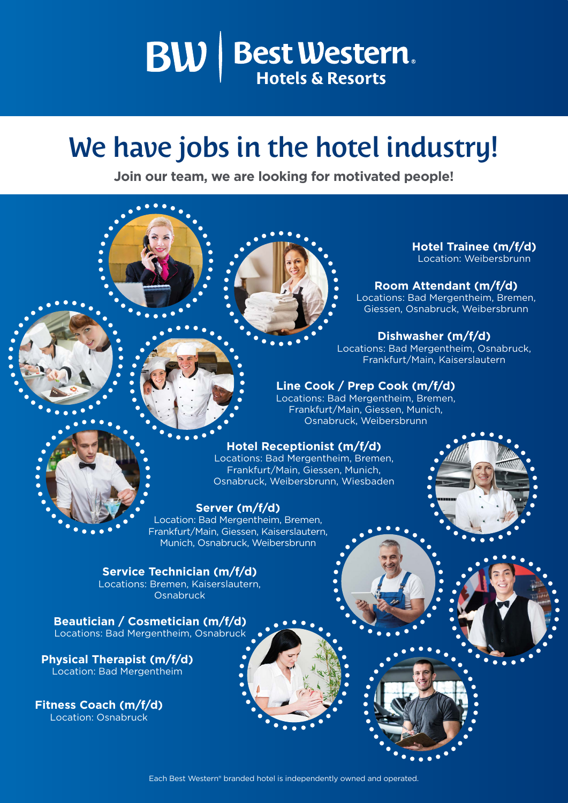# BW | Best Western.

## We have jobs in the hotel industry!

**Join our team, we are looking for motivated people!** 

#### **Hotel Trainee (m/f/d)** Location: Weibersbrunn

**Room Attendant (m/f/d)** Locations: Bad Mergentheim, Bremen, Giessen, Osnabruck, Weibersbrunn

**Dishwasher (m/f/d)** Locations: Bad Mergentheim, Osnabruck, Frankfurt/Main, Kaiserslautern

#### **Line Cook / Prep Cook (m/f/d)**

Locations: Bad Mergentheim, Bremen, Frankfurt/Main, Giessen, Munich, Osnabruck, Weibersbrunn

### **Hotel Receptionist (m/f/d)**

Locations: Bad Mergentheim, Bremen, Frankfurt/Main, Giessen, Munich, Osnabruck, Weibersbrunn, Wiesbaden

#### **Server (m/f/d)**

Location: Bad Mergentheim, Bremen, Frankfurt/Main, Giessen, Kaiserslautern, Munich, Osnabruck, Weibersbrunn

**Service Technician (m/f/d)** Locations: Bremen, Kaiserslautern, **Osnabruck** 

**Beautician / Cosmetician (m/f/d)** Locations: Bad Mergentheim, Osnabruck

**Physical Therapist (m/f/d)** Location: Bad Mergentheim

**Fitness Coach (m/f/d)** Location: Osnabruck